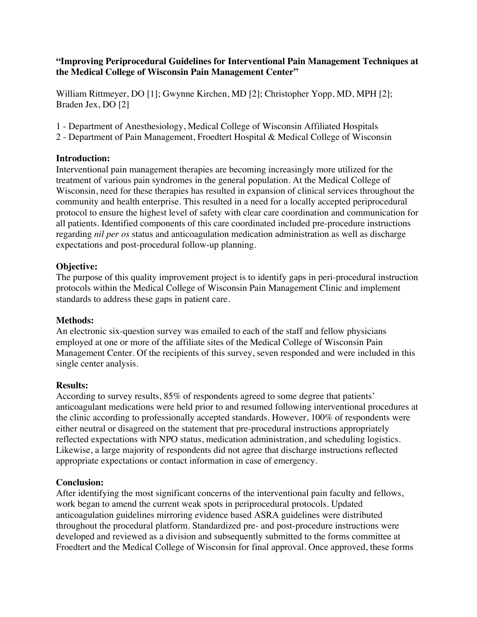# **"Improving Periprocedural Guidelines for Interventional Pain Management Techniques at the Medical College of Wisconsin Pain Management Center"**

William Rittmeyer, DO [1]; Gwynne Kirchen, MD [2]; Christopher Yopp, MD, MPH [2]; Braden Jex, DO [2]

1 - Department of Anesthesiology, Medical College of Wisconsin Affiliated Hospitals

2 - Department of Pain Management, Froedtert Hospital & Medical College of Wisconsin

### **Introduction:**

Interventional pain management therapies are becoming increasingly more utilized for the treatment of various pain syndromes in the general population. At the Medical College of Wisconsin, need for these therapies has resulted in expansion of clinical services throughout the community and health enterprise. This resulted in a need for a locally accepted periprocedural protocol to ensure the highest level of safety with clear care coordination and communication for all patients. Identified components of this care coordinated included pre-procedure instructions regarding *nil per os* status and anticoagulation medication administration as well as discharge expectations and post-procedural follow-up planning.

# **Objective:**

The purpose of this quality improvement project is to identify gaps in peri-procedural instruction protocols within the Medical College of Wisconsin Pain Management Clinic and implement standards to address these gaps in patient care.

#### **Methods:**

An electronic six-question survey was emailed to each of the staff and fellow physicians employed at one or more of the affiliate sites of the Medical College of Wisconsin Pain Management Center. Of the recipients of this survey, seven responded and were included in this single center analysis.

#### **Results:**

According to survey results, 85% of respondents agreed to some degree that patients' anticoagulant medications were held prior to and resumed following interventional procedures at the clinic according to professionally accepted standards. However, 100% of respondents were either neutral or disagreed on the statement that pre-procedural instructions appropriately reflected expectations with NPO status, medication administration, and scheduling logistics. Likewise, a large majority of respondents did not agree that discharge instructions reflected appropriate expectations or contact information in case of emergency.

#### **Conclusion:**

After identifying the most significant concerns of the interventional pain faculty and fellows, work began to amend the current weak spots in periprocedural protocols. Updated anticoagulation guidelines mirroring evidence based ASRA guidelines were distributed throughout the procedural platform. Standardized pre- and post-procedure instructions were developed and reviewed as a division and subsequently submitted to the forms committee at Froedtert and the Medical College of Wisconsin for final approval. Once approved, these forms